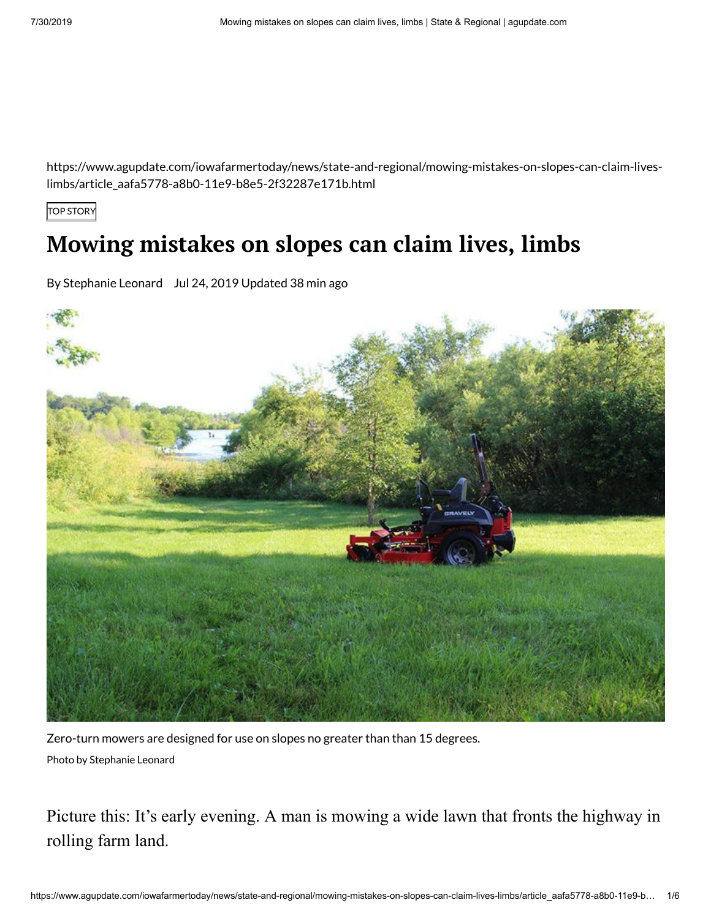https://www.agupdate.com/iowafarmertoday/news/state-and-regional/mowing-mistakes-on-slopes-can-claim-liveslimbs/article\_aafa5778-a8b0-11e9-b8e5-2f32287e171b.html

TOP STORY

# **Mowing mistakes on slopes can claim lives, limbs**

By Stephanie Leonard Jul 24, 2019 Updated 38 min ago



Zero-turn mowers are designed for use on slopes no greater than than 15 degrees. Photo by Stephanie Leonard

Picture this: It's early evening. A man is mowing a wide lawn that fronts the highway in rolling farm land.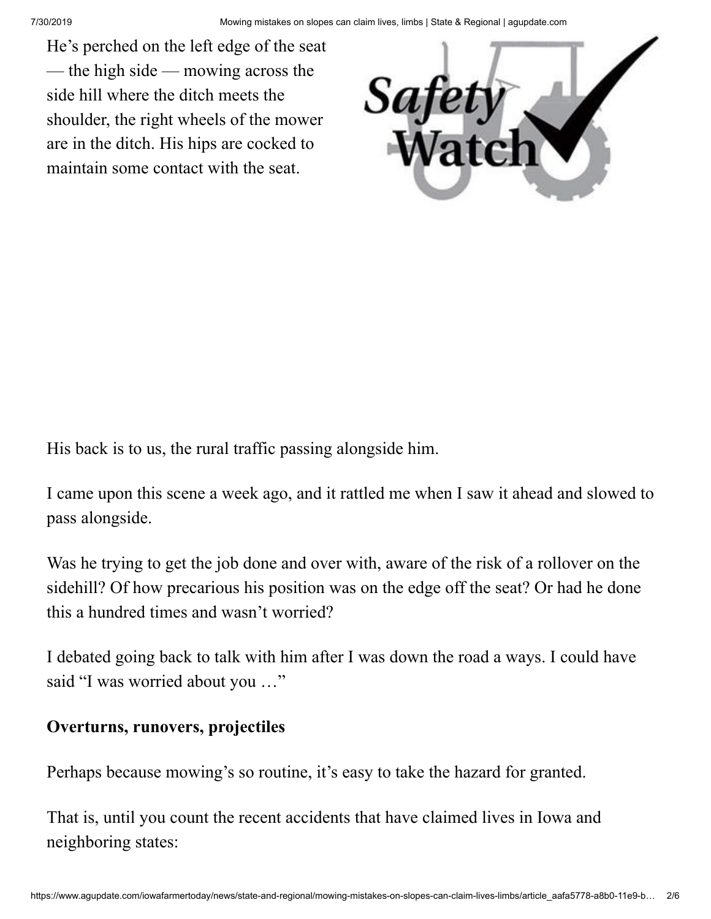He's perched on the left edge of the seat — the high side — mowing across the side hill where the ditch meets the shoulder, the right wheels of the mower are in the ditch. His hips are cocked to maintain some contact with the seat.



His back is to us, the rural traffic passing alongside him.

I came upon this scene a week ago, and it rattled me when I saw it ahead and slowed to pass alongside.

Was he trying to get the job done and over with, aware of the risk of a rollover on the sidehill? Of how precarious his position was on the edge off the seat? Or had he done this a hundred times and wasn't worried?

I debated going back to talk with him after I was down the road a ways. I could have said "I was worried about you …"

# **Overturns, runovers, projectiles**

Perhaps because mowing's so routine, it's easy to take the hazard for granted.

That is, until you count the recent accidents that have claimed lives in Iowa and neighboring states: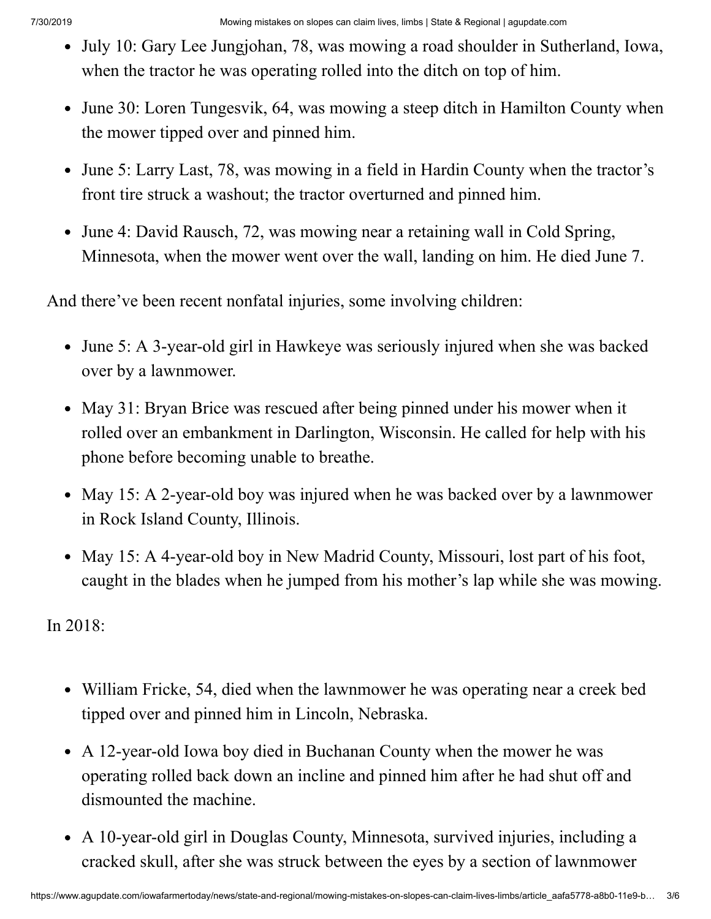- July 10: Gary Lee Jungjohan, 78, was mowing a road shoulder in Sutherland, Iowa, when the tractor he was operating rolled into the ditch on top of him.
- June 30: Loren Tungesvik, 64, was mowing a steep ditch in Hamilton County when the mower tipped over and pinned him.
- June 5: Larry Last, 78, was mowing in a field in Hardin County when the tractor's front tire struck a washout; the tractor overturned and pinned him.
- June 4: David Rausch, 72, was mowing near a retaining wall in Cold Spring, Minnesota, when the mower went over the wall, landing on him. He died June 7.

And there've been recent nonfatal injuries, some involving children:

- June 5: A 3-year-old girl in Hawkeye was seriously injured when she was backed over by a lawnmower.
- May 31: Bryan Brice was rescued after being pinned under his mower when it rolled over an embankment in Darlington, Wisconsin. He called for help with his phone before becoming unable to breathe.
- May 15: A 2-year-old boy was injured when he was backed over by a lawnmower in Rock Island County, Illinois.
- May 15: A 4-year-old boy in New Madrid County, Missouri, lost part of his foot, caught in the blades when he jumped from his mother's lap while she was mowing.

In 2018:

- William Fricke, 54, died when the lawnmower he was operating near a creek bed tipped over and pinned him in Lincoln, Nebraska.
- A 12-year-old Iowa boy died in Buchanan County when the mower he was operating rolled back down an incline and pinned him after he had shut off and dismounted the machine.
- A 10-year-old girl in Douglas County, Minnesota, survived injuries, including a cracked skull, after she was struck between the eyes by a section of lawnmower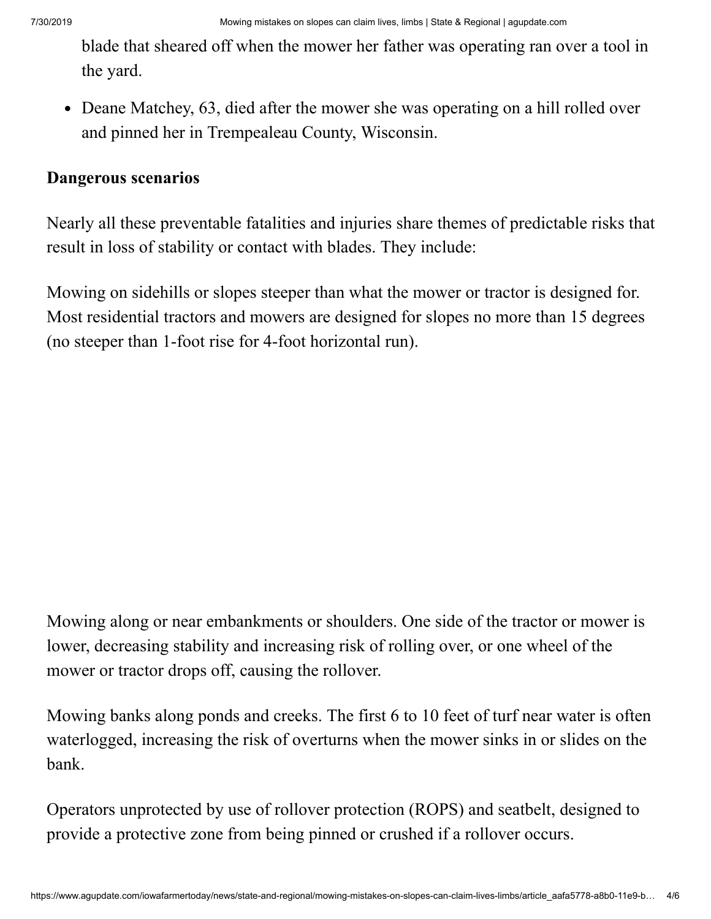blade that sheared off when the mower her father was operating ran over a tool in the yard.

• Deane Matchey, 63, died after the mower she was operating on a hill rolled over and pinned her in Trempealeau County, Wisconsin.

## **Dangerous scenarios**

Nearly all these preventable fatalities and injuries share themes of predictable risks that result in loss of stability or contact with blades. They include:

Mowing on sidehills or slopes steeper than what the mower or tractor is designed for. Most residential tractors and mowers are designed for slopes no more than 15 degrees (no steeper than 1-foot rise for 4-foot horizontal run).

Mowing along or near embankments or shoulders. One side of the tractor or mower is lower, decreasing stability and increasing risk of rolling over, or one wheel of the mower or tractor drops off, causing the rollover.

Mowing banks along ponds and creeks. The first 6 to 10 feet of turf near water is often waterlogged, increasing the risk of overturns when the mower sinks in or slides on the bank.

Operators unprotected by use of rollover protection (ROPS) and seatbelt, designed to provide a protective zone from being pinned or crushed if a rollover occurs.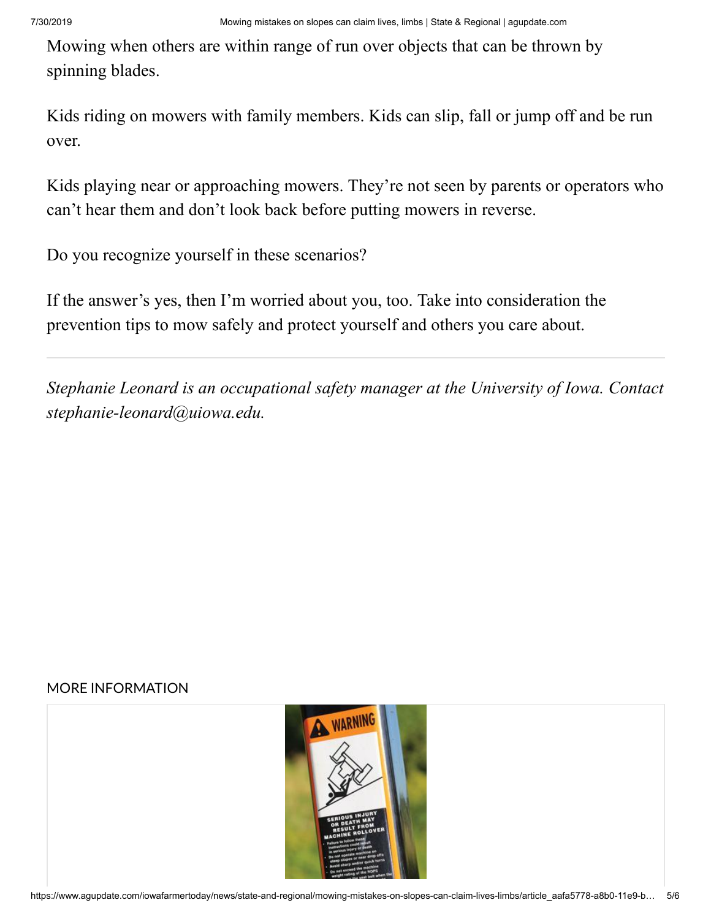Mowing when others are within range of run over objects that can be thrown by spinning blades.

Kids riding on mowers with family members. Kids can slip, fall or jump off and be run over.

Kids playing near or approaching mowers. They're not seen by parents or operators who can't hear them and don't look back before putting mowers in reverse.

Do you recognize yourself in these scenarios?

If the answer's yes, then I'm worried about you, too. Take into consideration the prevention tips to mow safely and protect yourself and others you care about.

*Stephanie Leonard is an occupational safety manager at the University of Iowa. Contact [stephanie-leonard@uiowa.edu.](mailto:stephanie-leonard@uiowa.edu)*

### MORE INFORMATION